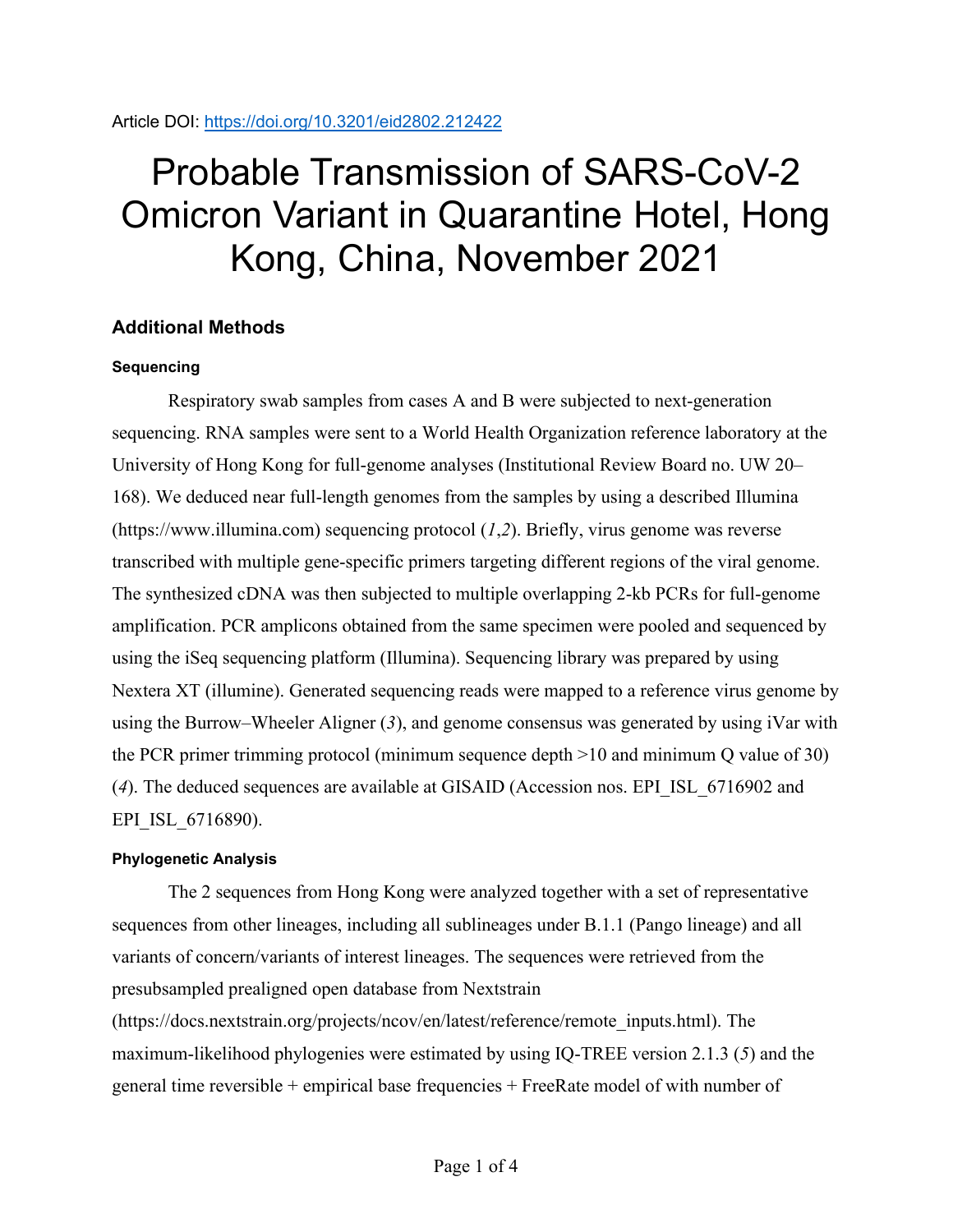# Probable Transmission of SARS-CoV-2 Omicron Variant in Quarantine Hotel, Hong Kong, China, November 2021

# **Additional Methods**

### **Sequencing**

Respiratory swab samples from cases A and B were subjected to next-generation sequencing. RNA samples were sent to a World Health Organization reference laboratory at the University of Hong Kong for full-genome analyses (Institutional Review Board no. UW 20– 168). We deduced near full-length genomes from the samples by using a described Illumina (https://www.illumina.com) sequencing protocol (*1*,*2*). Briefly, virus genome was reverse transcribed with multiple gene-specific primers targeting different regions of the viral genome. The synthesized cDNA was then subjected to multiple overlapping 2-kb PCRs for full-genome amplification. PCR amplicons obtained from the same specimen were pooled and sequenced by using the iSeq sequencing platform (Illumina). Sequencing library was prepared by using Nextera XT (illumine). Generated sequencing reads were mapped to a reference virus genome by using the Burrow‒Wheeler Aligner (*3*), and genome consensus was generated by using iVar with the PCR primer trimming protocol (minimum sequence depth >10 and minimum Q value of 30) (*4*). The deduced sequences are available at GISAID (Accession nos. EPI\_ISL\_6716902 and EPI ISL 6716890).

### **Phylogenetic Analysis**

The 2 sequences from Hong Kong were analyzed together with a set of representative sequences from other lineages, including all sublineages under B.1.1 (Pango lineage) and all variants of concern/variants of interest lineages. The sequences were retrieved from the presubsampled prealigned open database from Nextstrain

(https://docs.nextstrain.org/projects/ncov/en/latest/reference/remote\_inputs.html). The maximum-likelihood phylogenies were estimated by using IQ-TREE version 2.1.3 (*5*) and the general time reversible + empirical base frequencies + FreeRate model of with number of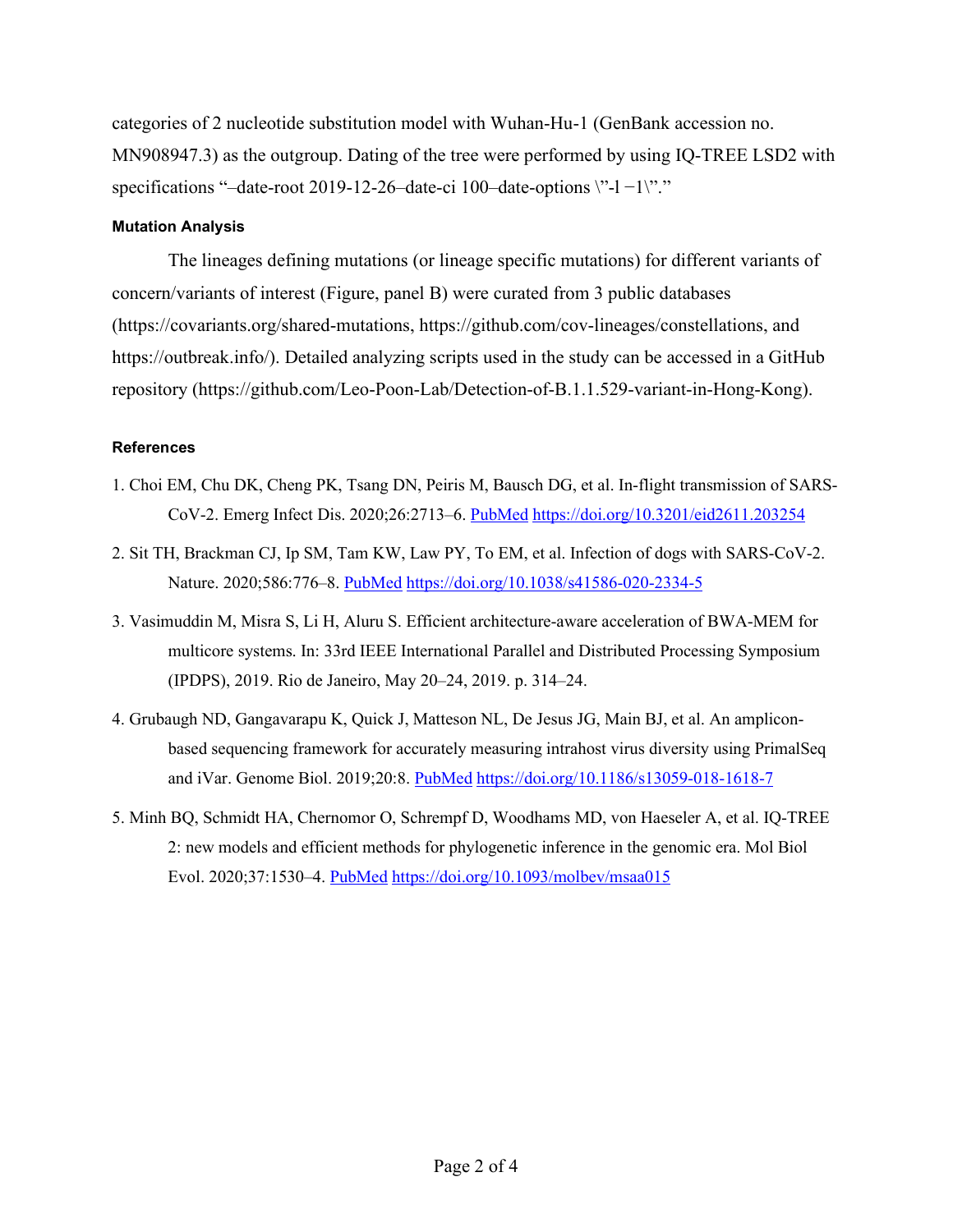categories of 2 nucleotide substitution model with Wuhan-Hu-1 (GenBank accession no. MN908947.3) as the outgroup. Dating of the tree were performed by using IQ-TREE LSD2 with specifications "–date-root 2019-12-26–date-ci 100–date-options \"-l −1\"."

#### **Mutation Analysis**

The lineages defining mutations (or lineage specific mutations) for different variants of concern/variants of interest (Figure, panel B) were curated from 3 public databases (https://covariants.org/shared-mutations, https://github.com/cov-lineages/constellations, and https://outbreak.info/). Detailed analyzing scripts used in the study can be accessed in a GitHub repository (https://github.com/Leo-Poon-Lab/Detection-of-B.1.1.529-variant-in-Hong-Kong).

#### **References**

- 1. Choi EM, Chu DK, Cheng PK, Tsang DN, Peiris M, Bausch DG, et al. In-flight transmission of SARS-CoV-2. Emerg Infect Dis. 2020;26:2713–6. [PubMed](https://www.ncbi.nlm.nih.gov/entrez/query.fcgi?cmd=Retrieve&db=PubMed&list_uids=32946370&dopt=Abstract) <https://doi.org/10.3201/eid2611.203254>
- 2. Sit TH, Brackman CJ, Ip SM, Tam KW, Law PY, To EM, et al. Infection of dogs with SARS-CoV-2. Nature. 2020;586:776–8. [PubMed](https://www.ncbi.nlm.nih.gov/entrez/query.fcgi?cmd=Retrieve&db=PubMed&list_uids=32408337&dopt=Abstract) <https://doi.org/10.1038/s41586-020-2334-5>
- 3. Vasimuddin M, Misra S, Li H, Aluru S. Efficient architecture-aware acceleration of BWA-MEM for multicore systems. In: 33rd IEEE International Parallel and Distributed Processing Symposium (IPDPS), 2019. Rio de Janeiro, May 20‒24, 2019. p. 314–24.
- 4. Grubaugh ND, Gangavarapu K, Quick J, Matteson NL, De Jesus JG, Main BJ, et al. An ampliconbased sequencing framework for accurately measuring intrahost virus diversity using PrimalSeq and iVar. Genome Biol. 2019;20:8. [PubMed](https://www.ncbi.nlm.nih.gov/entrez/query.fcgi?cmd=Retrieve&db=PubMed&list_uids=30621750&dopt=Abstract) <https://doi.org/10.1186/s13059-018-1618-7>
- 5. Minh BQ, Schmidt HA, Chernomor O, Schrempf D, Woodhams MD, von Haeseler A, et al. IQ-TREE 2: new models and efficient methods for phylogenetic inference in the genomic era. Mol Biol Evol. 2020;37:1530–4. [PubMed](https://www.ncbi.nlm.nih.gov/entrez/query.fcgi?cmd=Retrieve&db=PubMed&list_uids=32011700&dopt=Abstract) <https://doi.org/10.1093/molbev/msaa015>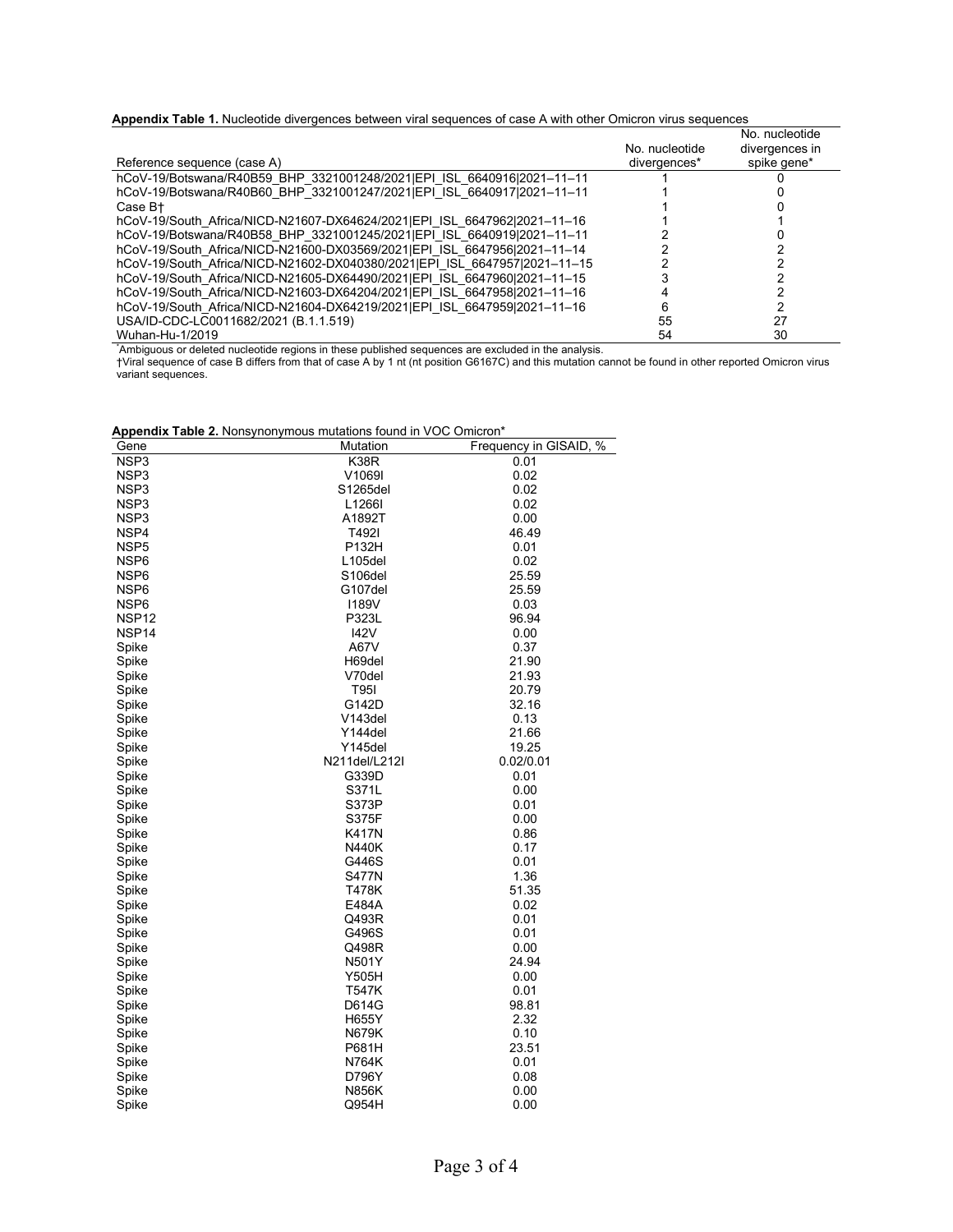|  |  |  | Appendix Table 1. Nucleotide divergences between viral sequences of case A with other Omicron virus sequences |  |  |  |  |  |  |
|--|--|--|---------------------------------------------------------------------------------------------------------------|--|--|--|--|--|--|
|--|--|--|---------------------------------------------------------------------------------------------------------------|--|--|--|--|--|--|

|                                                                                                    |                          | No. nucleotide |
|----------------------------------------------------------------------------------------------------|--------------------------|----------------|
|                                                                                                    | No. nucleotide           | divergences in |
| Reference sequence (case A)                                                                        | divergences <sup>*</sup> | spike gene*    |
| hCoV-19/Botswana/R40B59 BHP 3321001248/2021 IEPI ISL 6640916 2021-11-11                            |                          |                |
| hCoV-19/Botswana/R40B60 BHP 3321001247/2021 EPI ISL 6640917 2021-11-11                             |                          |                |
| Case B+                                                                                            |                          |                |
| hCoV-19/South Africa/NICD-N21607-DX64624/2021 EPI ISL 6647962 2021-11-16                           |                          |                |
| hCoV-19/Botswana/R40B58 BHP 3321001245/2021 EPI ISL 6640919 2021-11-11                             |                          |                |
| hCoV-19/South Africa/NICD-N21600-DX03569/2021IEPI ISL 664795612021-11-14                           |                          |                |
| hCoV-19/South Africa/NICD-N21602-DX040380/2021 EPI ISL 6647957 2021-11-15                          |                          |                |
| hCoV-19/South Africa/NICD-N21605-DX64490/2021 EPI ISL 6647960 2021-11-15                           |                          |                |
| hCoV-19/South Africa/NICD-N21603-DX64204/2021 EPI ISL 6647958 2021-11-16                           |                          |                |
| hCoV-19/South Africa/NICD-N21604-DX64219/2021   EPI ISL 6647959   2021-11-16                       |                          |                |
| USA/ID-CDC-LC0011682/2021 (B.1.1.519)                                                              | 55                       | 27             |
| Wuhan-Hu-1/2019                                                                                    | 54                       | 30             |
| Ambiquous or deleted nucleotide regions in these published sequences are excluded in the analysis. |                          |                |

†Viral sequence of case B differs from that of case A by 1 nt (nt position G6167C) and this mutation cannot be found in other reported Omicron virus variant sequences.

| <b>Appendix Table 2.</b> Nonsynonymous mutations found in VOC Omicron* |  |  |  |
|------------------------------------------------------------------------|--|--|--|
|                                                                        |  |  |  |

| Appendix Table 2. Nonsynonymous mutations found in VOC Omicron* |                      |                        |
|-----------------------------------------------------------------|----------------------|------------------------|
| Gene                                                            | Mutation             | Frequency in GISAID, % |
| NSP3                                                            | K38R                 | 0.01                   |
| NSP3                                                            | V1069I               | 0.02                   |
| NSP3                                                            | S1265del             | 0.02                   |
| NSP3                                                            | L1266I               | 0.02                   |
| NSP3                                                            | A1892T               | 0.00                   |
| NSP4                                                            | T492I                | 46.49                  |
| NSP <sub>5</sub>                                                | P132H                | 0.01                   |
| NSP6                                                            | L105del              | 0.02                   |
| NSP6                                                            | S <sub>106</sub> del | 25.59                  |
| NSP6                                                            | G107del              | 25.59                  |
| NSP6                                                            | <b>I189V</b>         | 0.03                   |
| NSP <sub>12</sub>                                               | P323L                | 96.94                  |
| NSP <sub>14</sub>                                               | 142V                 | 0.00                   |
| Spike                                                           | A67V                 | 0.37                   |
| Spike                                                           | H69del               | 21.90                  |
| Spike                                                           | V70del               | 21.93                  |
| Spike                                                           | T95I                 | 20.79                  |
| Spike                                                           | G142D                | 32.16                  |
| Spike                                                           | V <sub>143del</sub>  | 0.13                   |
| Spike                                                           | Y144del              | 21.66                  |
| Spike                                                           | Y145del              | 19.25                  |
| Spike                                                           | N211del/L212l        | 0.02/0.01              |
| Spike                                                           | G339D                | 0.01                   |
| Spike                                                           | S371L                | 0.00                   |
| Spike                                                           | S373P                | 0.01                   |
| Spike                                                           | S375F                | 0.00                   |
| Spike                                                           | <b>K417N</b>         | 0.86                   |
| Spike                                                           | <b>N440K</b>         | 0.17                   |
| Spike                                                           | G446S                | 0.01                   |
| Spike                                                           | <b>S477N</b>         | 1.36                   |
| Spike                                                           | T478K                | 51.35                  |
| Spike                                                           | E484A                | 0.02                   |
| Spike                                                           | Q493R                | 0.01                   |
| Spike                                                           | G496S                | 0.01                   |
| Spike                                                           | Q498R                | 0.00                   |
| Spike                                                           | N501Y                | 24.94                  |
| Spike                                                           | Y505H                | 0.00                   |
| Spike                                                           | T547K                | 0.01                   |
| Spike                                                           | D614G                | 98.81                  |
| Spike                                                           | H655Y                | 2.32                   |
| Spike                                                           | N679K                | 0.10                   |
| Spike                                                           | P681H                | 23.51                  |
| Spike                                                           | N764K                | 0.01                   |
| Spike                                                           | D796Y                | 0.08                   |
| Spike                                                           | <b>N856K</b>         | 0.00                   |
| Spike                                                           | Q954H                | 0.00                   |
|                                                                 |                      |                        |